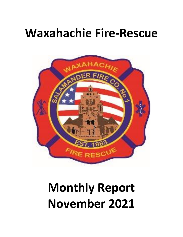## **Waxahachie Fire-Rescue**



# **Monthly Report November 2021**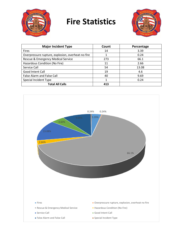

### **Fire Statistics**



| <b>Major Incident Type</b>                        | Count | Percentage |
|---------------------------------------------------|-------|------------|
| <b>Fires</b>                                      | 14    | 3.39       |
| Overpressure rupture, explosion, overheat-no fire |       | 0.24       |
| Rescue & Emergency Medical Service                | 273   | 66.1       |
| Hazardous Condition (No Fire)                     | 11    | 2.66       |
| Service Call                                      | 54    | 13.08      |
| Good Intent Call                                  | 19    | 4.6        |
| False Alarm and False Call                        | 40    | 9.69       |
| Special Incident Type                             |       | 0.24       |
| <b>Total All Calls</b>                            | 413   |            |

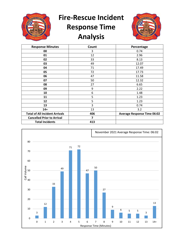

## **Fire-Rescue Incident Response Time Analysis**



| <b>Response Minutes</b>               | Count | Percentage                         |
|---------------------------------------|-------|------------------------------------|
| 00                                    | 3     | 0.74                               |
| 01                                    | 12    | 2.96                               |
| 02                                    | 33    | 8.13                               |
| 03                                    | 49    | 12.07                              |
| 04                                    | 71    | 17.49                              |
| 05                                    | 72    | 17.73                              |
| 06                                    | 47    | 11.58                              |
| 07                                    | 50    | 12.32                              |
| 08                                    | 27    | 6.65                               |
| 09                                    | 9     | 2.22                               |
| 10                                    | 6     | 1.48                               |
| 11                                    | 5     | 1.23                               |
| 12                                    | 5     | 1.23                               |
| 13                                    | 3     | 0.74                               |
| $14+$                                 | 13    | 3.2                                |
| <b>Total of All Incident Arrivals</b> | 406   | <b>Average Response Time 06:02</b> |
| <b>Cancelled Prior to Arrival</b>     | 7     |                                    |
| <b>Total Incidents</b>                | 413   |                                    |

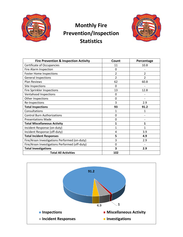

#### **Monthly Fire Prevention/Inspection Statistics**



| <b>Fire Prevention &amp; Inspection Activity</b> | Count          | Percentage    |
|--------------------------------------------------|----------------|---------------|
| <b>Certificate of Occupancies</b>                | 11             | 10.8          |
| Fire Alarm Inspection                            | 0              |               |
| <b>Foster Home Inspections</b>                   | 2              | 2             |
| <b>General Inspections</b>                       | 2              | $\mathfrak z$ |
| <b>Plan Reviews</b>                              | 62             | 60.8          |
| Site Inspections                                 | $\Omega$       |               |
| Fire Sprinkler Inspections                       | 13             | 12.8          |
| <b>Ventahood Inspections</b>                     | 0              |               |
| Other Inspections                                | $\Omega$       |               |
| Re-Inspections                                   | 3              | 2.9           |
| <b>Total Inspections</b>                         | 93             | 91.2          |
| Consultations                                    | 1              | 1             |
| <b>Control Burn Authorizations</b>               | 0              |               |
| <b>Presentations Made</b>                        | 0              |               |
| <b>Total Miscellaneous Activity</b>              | 1              | 1             |
| Incident Response (on-duty)                      | 1              | 1             |
| Incident Response (off-duty)                     | $\overline{4}$ | 3.9           |
| <b>Total Incident Responses</b>                  | 5              | 4.9           |
| Fire/Arson Investigations Performed (on-duty)    | 3              | 2.9           |
| Fire/Arson Investigations Performed (off-duty)   | $\Omega$       |               |
| <b>Total Investigations</b>                      | 3              | 2.9           |
| <b>Total All Activities</b>                      | 102            |               |

![](_page_3_Figure_4.jpeg)